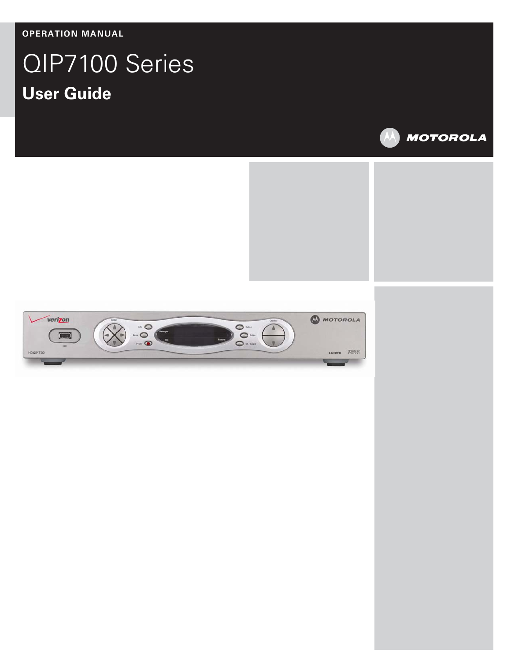**OPERATION MANUAL** 

# QIP7100 Series **User Guide**

Ι



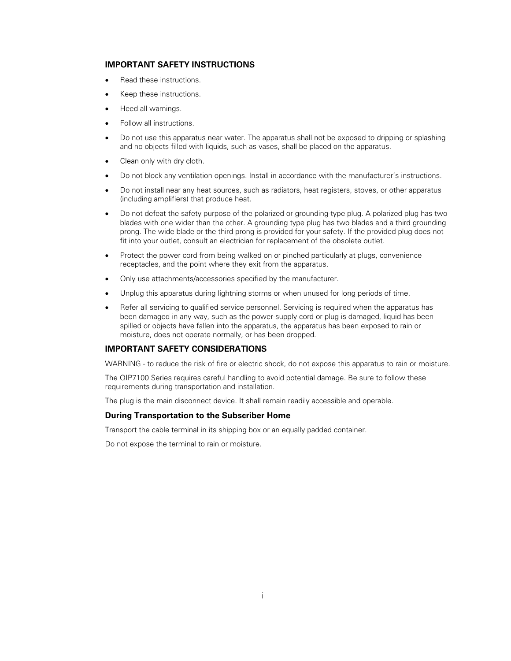#### **IMPORTANT SAFETY INSTRUCTIONS**

- Read these instructions.
- Keep these instructions.
- Heed all warnings.
- Follow all instructions.
- Do not use this apparatus near water. The apparatus shall not be exposed to dripping or splashing and no objects filled with liquids, such as vases, shall be placed on the apparatus.
- Clean only with dry cloth.
- Do not block any ventilation openings. Install in accordance with the manufacturer's instructions.
- Do not install near any heat sources, such as radiators, heat registers, stoves, or other apparatus (including amplifiers) that produce heat.
- Do not defeat the safety purpose of the polarized or grounding-type plug. A polarized plug has two blades with one wider than the other. A grounding type plug has two blades and a third grounding prong. The wide blade or the third prong is provided for your safety. If the provided plug does not fit into your outlet, consult an electrician for replacement of the obsolete outlet.
- Protect the power cord from being walked on or pinched particularly at plugs, convenience receptacles, and the point where they exit from the apparatus.
- Only use attachments/accessories specified by the manufacturer.
- Unplug this apparatus during lightning storms or when unused for long periods of time.
- Refer all servicing to qualified service personnel. Servicing is required when the apparatus has been damaged in any way, such as the power-supply cord or plug is damaged, liquid has been spilled or objects have fallen into the apparatus, the apparatus has been exposed to rain or moisture, does not operate normally, or has been dropped.

#### **IMPORTANT SAFETY CONSIDERATIONS**

WARNING - to reduce the risk of fire or electric shock, do not expose this apparatus to rain or moisture.

The QIP7100 Series requires careful handling to avoid potential damage. Be sure to follow these requirements during transportation and installation.

The plug is the main disconnect device. It shall remain readily accessible and operable.

#### **During Transportation to the Subscriber Home**

Transport the cable terminal in its shipping box or an equally padded container.

Do not expose the terminal to rain or moisture.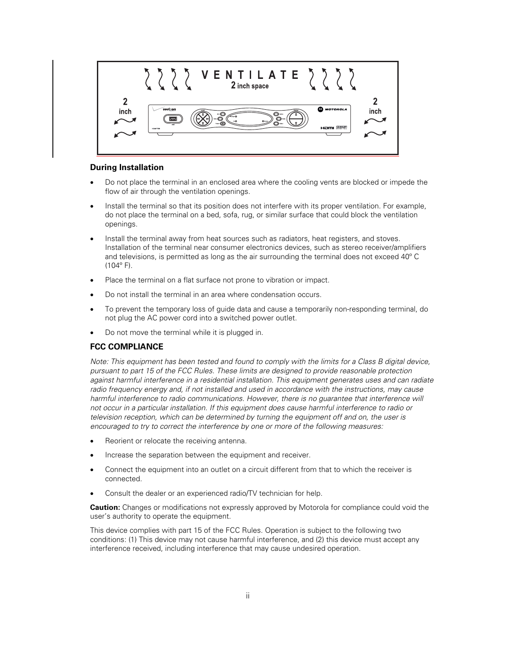

#### **During Installation**

- Do not place the terminal in an enclosed area where the cooling vents are blocked or impede the flow of air through the ventilation openings.
- Install the terminal so that its position does not interfere with its proper ventilation. For example, do not place the terminal on a bed, sofa, rug, or similar surface that could block the ventilation openings.
- Install the terminal away from heat sources such as radiators, heat registers, and stoves. Installation of the terminal near consumer electronics devices, such as stereo receiver/amplifiers and televisions, is permitted as long as the air surrounding the terminal does not exceed 40º C  $(104^{\circ} F)$ .
- Place the terminal on a flat surface not prone to vibration or impact.
- Do not install the terminal in an area where condensation occurs.
- To prevent the temporary loss of guide data and cause a temporarily non-responding terminal, do not plug the AC power cord into a switched power outlet.
- Do not move the terminal while it is plugged in.

#### **FCC COMPLIANCE**

Note: This equipment has been tested and found to comply with the limits for a Class B digital device, pursuant to part 15 of the FCC Rules. These limits are designed to provide reasonable protection against harmful interference in a residential installation. This equipment generates uses and can radiate radio frequency energy and, if not installed and used in accordance with the instructions, may cause harmful interference to radio communications. However, there is no guarantee that interference will not occur in a particular installation. If this equipment does cause harmful interference to radio or television reception, which can be determined by turning the equipment off and on, the user is encouraged to try to correct the interference by one or more of the following measures:

- Reorient or relocate the receiving antenna.
- Increase the separation between the equipment and receiver.
- Connect the equipment into an outlet on a circuit different from that to which the receiver is connected.
- Consult the dealer or an experienced radio/TV technician for help.

**Caution:** Changes or modifications not expressly approved by Motorola for compliance could void the user's authority to operate the equipment.

This device complies with part 15 of the FCC Rules. Operation is subject to the following two conditions: (1) This device may not cause harmful interference, and (2) this device must accept any interference received, including interference that may cause undesired operation.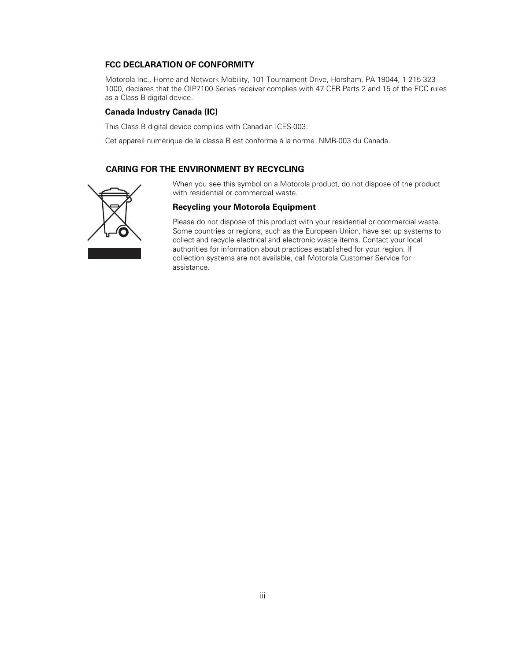#### **FCC DECLARATION OF CONFORMITY**

Motorola Inc., Home and Network Mobility, 101 Tournament Drive, Horsham, PA 19044, 1-215-323- 1000, declares that the QIP7100 Series receiver complies with 47 CFR Parts 2 and 15 of the FCC rules as a Class B digital device.

#### **Canada Industry Canada (IC)**

This Class B digital device complies with Canadian ICES-003.

Cet appareil numérique de la classe B est conforme à la norme NMB-003 du Canada.

#### **CARING FOR THE ENVIRONMENT BY RECYCLING**



When you see this symbol on a Motorola product, do not dispose of the product with residential or commercial waste.

#### **Recycling your Motorola Equipment**

Please do not dispose of this product with your residential or commercial waste. Some countries or regions, such as the European Union, have set up systems to collect and recycle electrical and electronic waste items. Contact your local authorities for information about practices established for your region. If collection systems are not available, call Motorola Customer Service for assistance.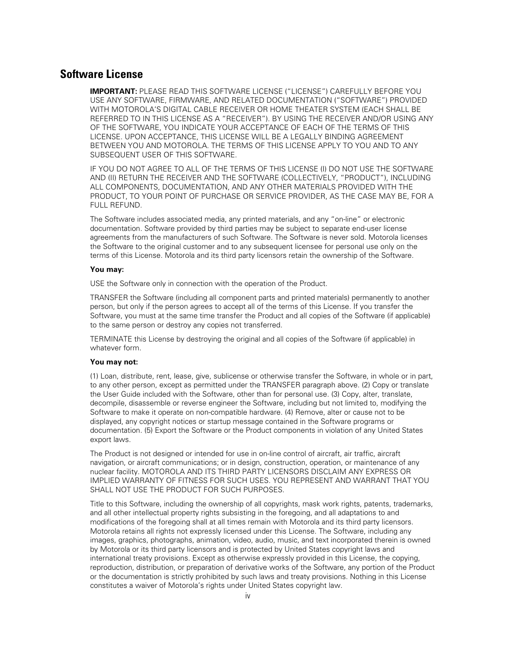## **Software License**

**IMPORTANT:** PLEASE READ THIS SOFTWARE LICENSE ("LICENSE") CAREFULLY BEFORE YOU USE ANY SOFTWARE, FIRMWARE, AND RELATED DOCUMENTATION ("SOFTWARE") PROVIDED WITH MOTOROLA'S DIGITAL CABLE RECEIVER OR HOME THEATER SYSTEM (EACH SHALL BE REFERRED TO IN THIS LICENSE AS A "RECEIVER"). BY USING THE RECEIVER AND/OR USING ANY OF THE SOFTWARE, YOU INDICATE YOUR ACCEPTANCE OF EACH OF THE TERMS OF THIS LICENSE. UPON ACCEPTANCE, THIS LICENSE WILL BE A LEGALLY BINDING AGREEMENT BETWEEN YOU AND MOTOROLA. THE TERMS OF THIS LICENSE APPLY TO YOU AND TO ANY SUBSEQUENT USER OF THIS SOFTWARE.

IF YOU DO NOT AGREE TO ALL OF THE TERMS OF THIS LICENSE (I) DO NOT USE THE SOFTWARE AND (II) RETURN THE RECEIVER AND THE SOFTWARE (COLLECTIVELY, "PRODUCT"), INCLUDING ALL COMPONENTS, DOCUMENTATION, AND ANY OTHER MATERIALS PROVIDED WITH THE PRODUCT, TO YOUR POINT OF PURCHASE OR SERVICE PROVIDER, AS THE CASE MAY BE, FOR A FULL REFUND.

The Software includes associated media, any printed materials, and any "on-line" or electronic documentation. Software provided by third parties may be subject to separate end-user license agreements from the manufacturers of such Software. The Software is never sold. Motorola licenses the Software to the original customer and to any subsequent licensee for personal use only on the terms of this License. Motorola and its third party licensors retain the ownership of the Software.

#### **You may:**

USE the Software only in connection with the operation of the Product.

TRANSFER the Software (including all component parts and printed materials) permanently to another person, but only if the person agrees to accept all of the terms of this License. If you transfer the Software, you must at the same time transfer the Product and all copies of the Software (if applicable) to the same person or destroy any copies not transferred.

TERMINATE this License by destroying the original and all copies of the Software (if applicable) in whatever form.

#### **You may not:**

(1) Loan, distribute, rent, lease, give, sublicense or otherwise transfer the Software, in whole or in part, to any other person, except as permitted under the TRANSFER paragraph above. (2) Copy or translate the User Guide included with the Software, other than for personal use. (3) Copy, alter, translate, decompile, disassemble or reverse engineer the Software, including but not limited to, modifying the Software to make it operate on non-compatible hardware. (4) Remove, alter or cause not to be displayed, any copyright notices or startup message contained in the Software programs or documentation. (5) Export the Software or the Product components in violation of any United States export laws.

The Product is not designed or intended for use in on-line control of aircraft, air traffic, aircraft navigation, or aircraft communications; or in design, construction, operation, or maintenance of any nuclear facility. MOTOROLA AND ITS THIRD PARTY LICENSORS DISCLAIM ANY EXPRESS OR IMPLIED WARRANTY OF FITNESS FOR SUCH USES. YOU REPRESENT AND WARRANT THAT YOU SHALL NOT USE THE PRODUCT FOR SUCH PURPOSES.

Title to this Software, including the ownership of all copyrights, mask work rights, patents, trademarks, and all other intellectual property rights subsisting in the foregoing, and all adaptations to and modifications of the foregoing shall at all times remain with Motorola and its third party licensors. Motorola retains all rights not expressly licensed under this License. The Software, including any images, graphics, photographs, animation, video, audio, music, and text incorporated therein is owned by Motorola or its third party licensors and is protected by United States copyright laws and international treaty provisions. Except as otherwise expressly provided in this License, the copying, reproduction, distribution, or preparation of derivative works of the Software, any portion of the Product or the documentation is strictly prohibited by such laws and treaty provisions. Nothing in this License constitutes a waiver of Motorola's rights under United States copyright law.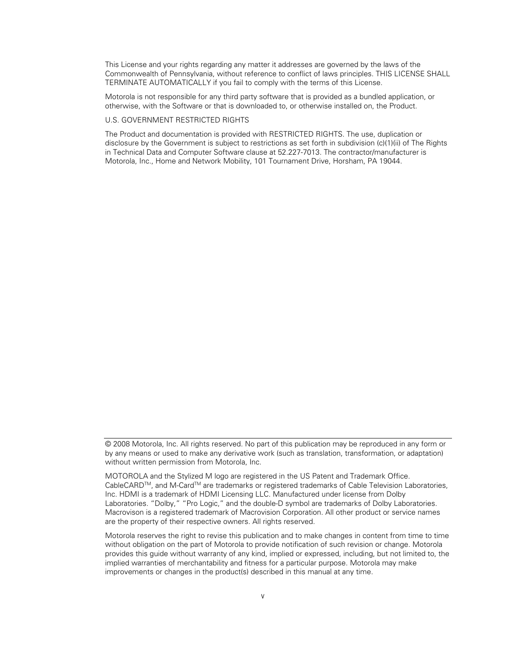This License and your rights regarding any matter it addresses are governed by the laws of the Commonwealth of Pennsylvania, without reference to conflict of laws principles. THIS LICENSE SHALL TERMINATE AUTOMATICALLY if you fail to comply with the terms of this License.

Motorola is not responsible for any third party software that is provided as a bundled application, or otherwise, with the Software or that is downloaded to, or otherwise installed on, the Product.

#### U.S. GOVERNMENT RESTRICTED RIGHTS

The Product and documentation is provided with RESTRICTED RIGHTS. The use, duplication or disclosure by the Government is subject to restrictions as set forth in subdivision (c)(1)(ii) of The Rights in Technical Data and Computer Software clause at 52.227-7013. The contractor/manufacturer is Motorola, Inc., Home and Network Mobility, 101 Tournament Drive, Horsham, PA 19044.

<sup>© 2008</sup> Motorola, Inc. All rights reserved. No part of this publication may be reproduced in any form or by any means or used to make any derivative work (such as translation, transformation, or adaptation) without written permission from Motorola, Inc.

MOTOROLA and the Stylized M logo are registered in the US Patent and Trademark Office. CableCARD<sup>™</sup>, and M-Card<sup>™</sup> are trademarks or registered trademarks of Cable Television Laboratories, Inc. HDMI is a trademark of HDMI Licensing LLC. Manufactured under license from Dolby Laboratories. "Dolby," "Pro Logic," and the double-D symbol are trademarks of Dolby Laboratories. Macrovison is a registered trademark of Macrovision Corporation. All other product or service names are the property of their respective owners. All rights reserved.

Motorola reserves the right to revise this publication and to make changes in content from time to time without obligation on the part of Motorola to provide notification of such revision or change. Motorola provides this guide without warranty of any kind, implied or expressed, including, but not limited to, the implied warranties of merchantability and fitness for a particular purpose. Motorola may make improvements or changes in the product(s) described in this manual at any time.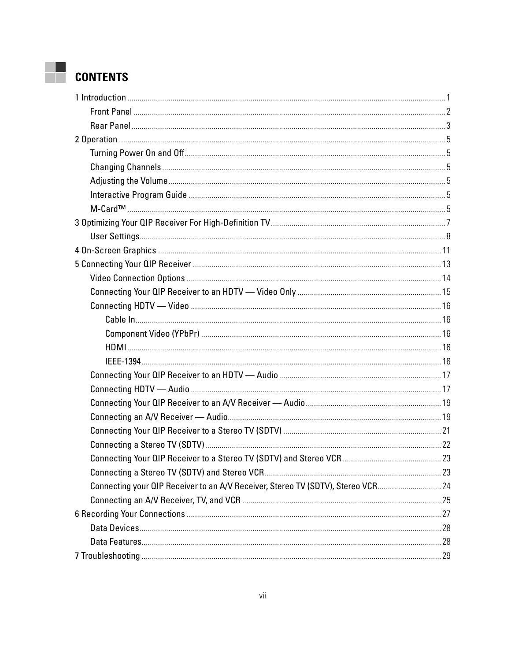# **CONTENTS**

| Connecting your QIP Receiver to an A/V Receiver, Stereo TV (SDTV), Stereo VCR24 |  |
|---------------------------------------------------------------------------------|--|
|                                                                                 |  |
|                                                                                 |  |
|                                                                                 |  |
|                                                                                 |  |
|                                                                                 |  |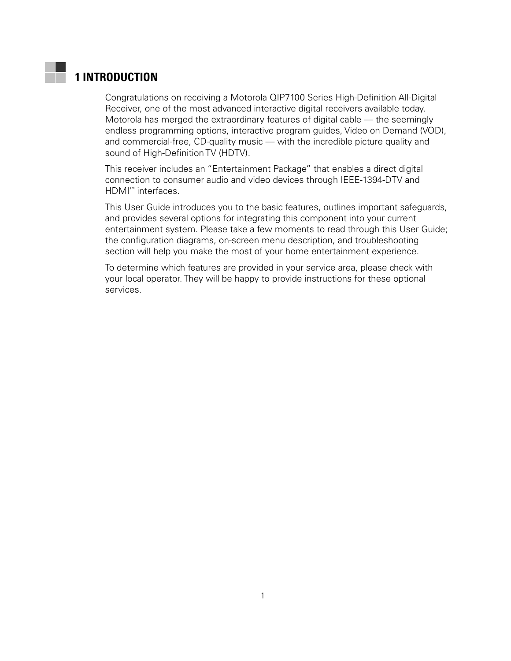# <span id="page-10-0"></span>**1 INTRODUCTION**

Congratulations on receiving a Motorola QIP7100 Series High-Definition All-Digital Receiver, one of the most advanced interactive digital receivers available today. Motorola has merged the extraordinary features of digital cable — the seemingly endless programming options, interactive program guides, Video on Demand (VOD), and commercial-free, CD-quality music — with the incredible picture quality and sound of High-Definition TV (HDTV).

This receiver includes an "Entertainment Package" that enables a direct digital connection to consumer audio and video devices through IEEE-1394-DTV and HDMI™ interfaces.

This User Guide introduces you to the basic features, outlines important safeguards, and provides several options for integrating this component into your current entertainment system. Please take a few moments to read through this User Guide; the configuration diagrams, on-screen menu description, and troubleshooting section will help you make the most of your home entertainment experience.

To determine which features are provided in your service area, please check with your local operator. They will be happy to provide instructions for these optional services.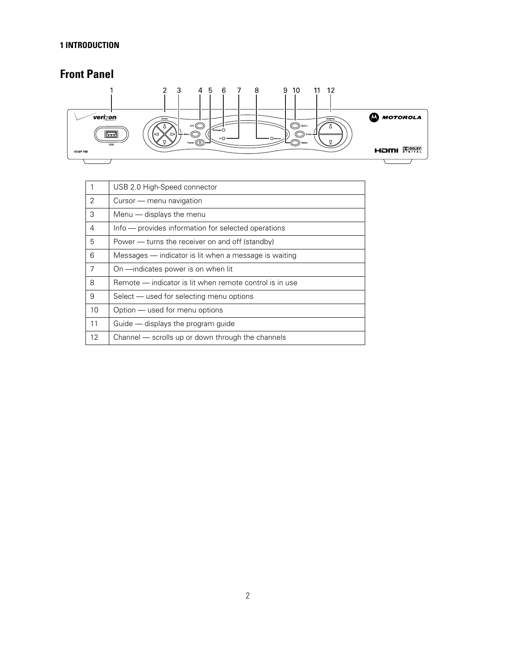#### <span id="page-11-0"></span>**1 INTRODUCTION**

# **Front Panel**



| $\mathbf{1}$ | USB 2.0 High-Speed connector                            |
|--------------|---------------------------------------------------------|
| 2            | Cursor — menu navigation                                |
| 3            | Menu - displays the menu                                |
| 4            | Info — provides information for selected operations     |
| 5            | Power — turns the receiver on and off (standby)         |
| 6            | Messages - indicator is lit when a message is waiting   |
| 7            | On -indicates power is on when lit                      |
| 8            | Remote - indicator is lit when remote control is in use |
| 9            | Select — used for selecting menu options                |
| 10           | Option — used for menu options                          |
| 11           | Guide - displays the program guide                      |
| 12           | Channel — scrolls up or down through the channels       |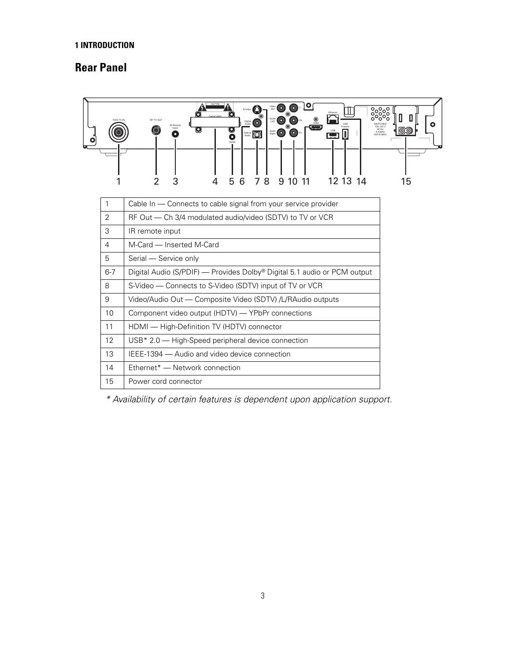#### <span id="page-12-0"></span>**1 INTRODUCTION**

# **Rear Panel**

| FIOS TV IN     | 10 I<br>0.<br>0<br>◉<br>Audio $\bigcirc$<br>$\circledcirc$<br>RE TV OLD<br>Digital (O)<br>$\circledast$<br>Input<br>O<br>Q<br>$\begin{picture}(220,20) \put(0,0){\line(1,0){10}} \put(15,0){\line(1,0){10}} \put(15,0){\line(1,0){10}} \put(15,0){\line(1,0){10}} \put(15,0){\line(1,0){10}} \put(15,0){\line(1,0){10}} \put(15,0){\line(1,0){10}} \put(15,0){\line(1,0){10}} \put(15,0){\line(1,0){10}} \put(15,0){\line(1,0){10}} \put(15,0){\line(1,0){10}} \put(15,0){\line($<br>$\circledcirc$<br>Audio (O)<br>$\Box$<br>Optical <b>D</b><br>Ō<br>500 W MAX<br>8<br>7<br>3<br>6<br>9<br>-11<br>12 13<br>5<br>10<br>-14 | ၁၁၁၁<br>၁၁၁၁<br>O<br>WITCHED<br>05-125 V<br>60 Hz<br>ෙත<br>4 A MAX<br>15 |
|----------------|-----------------------------------------------------------------------------------------------------------------------------------------------------------------------------------------------------------------------------------------------------------------------------------------------------------------------------------------------------------------------------------------------------------------------------------------------------------------------------------------------------------------------------------------------------------------------------------------------------------------------------|--------------------------------------------------------------------------|
| 1              | Cable In - Connects to cable signal from your service provider                                                                                                                                                                                                                                                                                                                                                                                                                                                                                                                                                              |                                                                          |
| 2              | RF Out - Ch 3/4 modulated audio/video (SDTV) to TV or VCR                                                                                                                                                                                                                                                                                                                                                                                                                                                                                                                                                                   |                                                                          |
| 3              | IR remote input                                                                                                                                                                                                                                                                                                                                                                                                                                                                                                                                                                                                             |                                                                          |
| $\overline{4}$ | M-Card - Inserted M-Card                                                                                                                                                                                                                                                                                                                                                                                                                                                                                                                                                                                                    |                                                                          |
| 5              | Serial - Service only                                                                                                                                                                                                                                                                                                                                                                                                                                                                                                                                                                                                       |                                                                          |
| $6 - 7$        | Digital Audio (S/PDIF) — Provides Dolby® Digital 5.1 audio or PCM output                                                                                                                                                                                                                                                                                                                                                                                                                                                                                                                                                    |                                                                          |
| 8              | S-Video - Connects to S-Video (SDTV) input of TV or VCR                                                                                                                                                                                                                                                                                                                                                                                                                                                                                                                                                                     |                                                                          |
| 9              | Video/Audio Out - Composite Video (SDTV) /L/RAudio outputs                                                                                                                                                                                                                                                                                                                                                                                                                                                                                                                                                                  |                                                                          |
| 10             | Component video output (HDTV) — YPbPr connections                                                                                                                                                                                                                                                                                                                                                                                                                                                                                                                                                                           |                                                                          |
| 11             | HDMI - High-Definition TV (HDTV) connector                                                                                                                                                                                                                                                                                                                                                                                                                                                                                                                                                                                  |                                                                          |
| 12             | USB* 2.0 - High-Speed peripheral device connection                                                                                                                                                                                                                                                                                                                                                                                                                                                                                                                                                                          |                                                                          |
| 13             | IEEE-1394 - Audio and video device connection                                                                                                                                                                                                                                                                                                                                                                                                                                                                                                                                                                               |                                                                          |
| 14             | Ethernet* - Network connection                                                                                                                                                                                                                                                                                                                                                                                                                                                                                                                                                                                              |                                                                          |
| 15             | Power cord connector                                                                                                                                                                                                                                                                                                                                                                                                                                                                                                                                                                                                        |                                                                          |

\* Availability of certain features is dependent upon application support.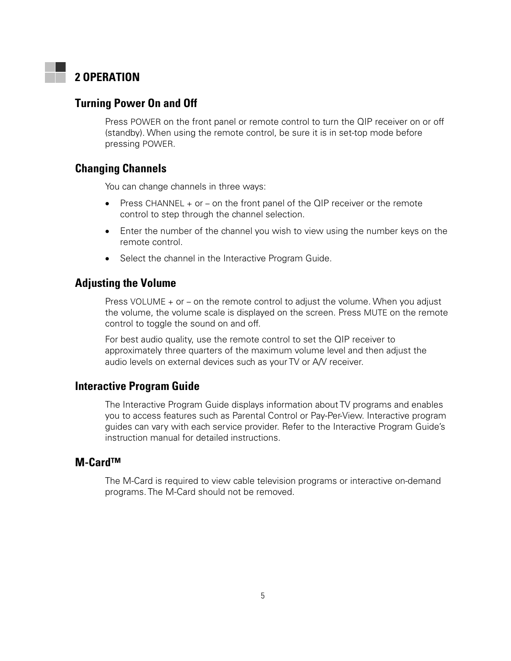# <span id="page-14-0"></span>**2 OPERATION**

## **Turning Power On and Off**

Press POWER on the front panel or remote control to turn the QIP receiver on or off (standby). When using the remote control, be sure it is in set-top mode before pressing POWER.

## **Changing Channels**

You can change channels in three ways:

- Press CHANNEL  $+$  or  $-$  on the front panel of the QIP receiver or the remote control to step through the channel selection.
- Enter the number of the channel you wish to view using the number keys on the remote control.
- Select the channel in the Interactive Program Guide.

## **Adjusting the Volume**

Press VOLUME + or – on the remote control to adjust the volume. When you adjust the volume, the volume scale is displayed on the screen. Press MUTE on the remote control to toggle the sound on and off.

For best audio quality, use the remote control to set the QIP receiver to approximately three quarters of the maximum volume level and then adjust the audio levels on external devices such as your TV or A/V receiver.

## **Interactive Program Guide**

The Interactive Program Guide displays information about TV programs and enables you to access features such as Parental Control or Pay-Per-View. Interactive program guides can vary with each service provider. Refer to the Interactive Program Guide's instruction manual for detailed instructions.

### **M-Card™**

The M-Card is required to view cable television programs or interactive on-demand programs. The M-Card should not be removed.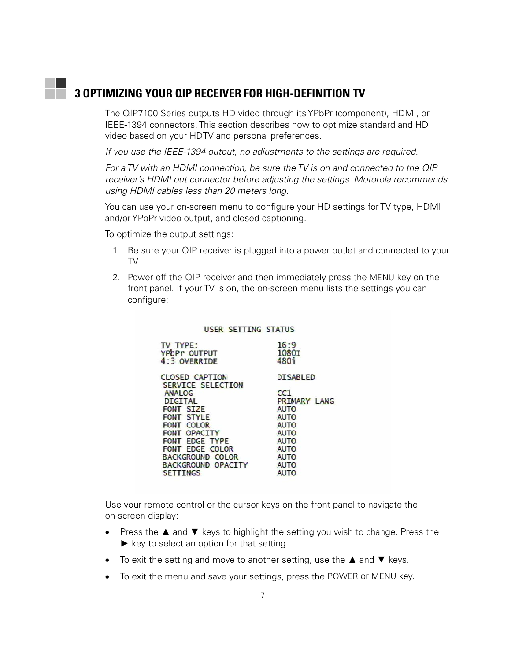# <span id="page-16-0"></span>**3 OPTIMIZING YOUR QIP RECEIVER FOR HIGH-DEFINITION TV**

The QIP7100 Series outputs HD video through its YPbPr (component), HDMI, or IEEE-1394 connectors. This section describes how to optimize standard and HD video based on your HDTV and personal preferences.

If you use the IEEE-1394 output, no adjustments to the settings are required.

For a TV with an HDMI connection, be sure the TV is on and connected to the QIP receiver's HDMI out connector before adjusting the settings. Motorola recommends using HDMI cables less than 20 meters long.

You can use your on-screen menu to configure your HD settings for TV type, HDMI and/or YPbPr video output, and closed captioning.

To optimize the output settings:

THE THOP

- 1. Be sure your QIP receiver is plugged into a power outlet and connected to your TV.
- 2. Power off the QIP receiver and then immediately press the MENU key on the front panel. If your TV is on, the on-screen menu lists the settings you can configure:

 $16.0$ 

#### **USER SETTING STATUS**

| $IV$ $IPE.$<br>YPbPr OUTPUT<br>4:3 OVERRIDE | 10.9<br>1080I<br>480 <sup>i</sup> |
|---------------------------------------------|-----------------------------------|
| <b>CLOSED CAPTION</b><br>SERVICE SELECTION  | <b>DISABLED</b>                   |
| <b>ANALOG</b>                               | cc1                               |
| <b>DIGITAL</b>                              | PRIMARY LANG                      |
| FONT SIZE                                   | <b>AUTO</b>                       |
| FONT STYLE                                  | <b>AUTO</b>                       |
| FONT COLOR                                  | <b>AUTO</b>                       |
| FONT OPACITY                                | <b>AUTO</b>                       |
| FONT EDGE TYPE                              | <b>AUTO</b>                       |
| FONT EDGE COLOR                             | <b>AUTO</b>                       |
| <b>BACKGROUND COLOR</b>                     | <b>AUTO</b>                       |
| BACKGROUND OPACITY                          | <b>AUTO</b>                       |
| <b>SETTINGS</b>                             | <b>AUTO</b>                       |

Use your remote control or the cursor keys on the front panel to navigate the on-screen display:

- Press the ▲ and ▼ keys to highlight the setting you wish to change. Press the  $\blacktriangleright$  key to select an option for that setting.
- To exit the setting and move to another setting, use the  $\blacktriangle$  and  $\nabla$  keys.
- To exit the menu and save your settings, press the POWER or MENU key.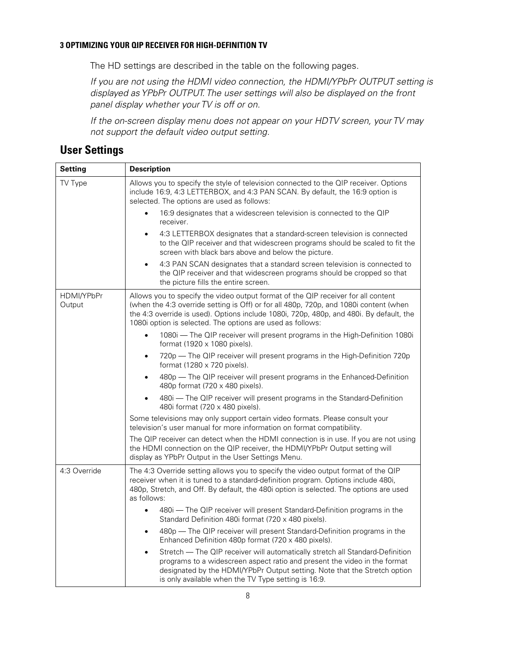#### <span id="page-17-0"></span>**3 OPTIMIZING YOUR QIP RECEIVER FOR HIGH-DEFINITION TV**

The HD settings are described in the table on the following pages.

If you are not using the HDMI video connection, the HDMI/YPbPr OUTPUT setting is displayed as YPbPr OUTPUT. The user settings will also be displayed on the front panel display whether your TV is off or on.

If the on-screen display menu does not appear on your HDTV screen, your TV may not support the default video output setting.

# **User Settings**

| <b>Setting</b>       | <b>Description</b>                                                                                                                                                                                                                                                                                                                  |
|----------------------|-------------------------------------------------------------------------------------------------------------------------------------------------------------------------------------------------------------------------------------------------------------------------------------------------------------------------------------|
| TV Type              | Allows you to specify the style of television connected to the QIP receiver. Options<br>include 16:9, 4:3 LETTERBOX, and 4:3 PAN SCAN. By default, the 16:9 option is<br>selected. The options are used as follows:                                                                                                                 |
|                      | 16:9 designates that a widescreen television is connected to the QIP<br>$\bullet$<br>receiver.                                                                                                                                                                                                                                      |
|                      | 4:3 LETTERBOX designates that a standard-screen television is connected<br>$\bullet$<br>to the QIP receiver and that widescreen programs should be scaled to fit the<br>screen with black bars above and below the picture.                                                                                                         |
|                      | 4:3 PAN SCAN designates that a standard screen television is connected to<br>$\bullet$<br>the QIP receiver and that widescreen programs should be cropped so that<br>the picture fills the entire screen.                                                                                                                           |
| HDMI/YPbPr<br>Output | Allows you to specify the video output format of the QIP receiver for all content<br>(when the 4:3 override setting is Off) or for all 480p, 720p, and 1080i content (when<br>the 4:3 override is used). Options include 1080i, 720p, 480p, and 480i. By default, the<br>1080i option is selected. The options are used as follows: |
|                      | 1080i - The QIP receiver will present programs in the High-Definition 1080i<br>$\bullet$<br>format (1920 x 1080 pixels).                                                                                                                                                                                                            |
|                      | 720p — The QIP receiver will present programs in the High-Definition 720p<br>$\bullet$<br>format (1280 x 720 pixels).                                                                                                                                                                                                               |
|                      | 480p - The QIP receiver will present programs in the Enhanced-Definition<br>$\bullet$<br>480p format (720 x 480 pixels).                                                                                                                                                                                                            |
|                      | 480i - The QIP receiver will present programs in the Standard-Definition<br>$\bullet$<br>480i format (720 x 480 pixels).                                                                                                                                                                                                            |
|                      | Some televisions may only support certain video formats. Please consult your<br>television's user manual for more information on format compatibility.                                                                                                                                                                              |
|                      | The QIP receiver can detect when the HDMI connection is in use. If you are not using<br>the HDMI connection on the QIP receiver, the HDMI/YPbPr Output setting will<br>display as YPbPr Output in the User Settings Menu.                                                                                                           |
| 4:3 Override         | The 4:3 Override setting allows you to specify the video output format of the QIP<br>receiver when it is tuned to a standard-definition program. Options include 480i,<br>480p, Stretch, and Off. By default, the 480i option is selected. The options are used<br>as follows:                                                      |
|                      | 480i - The QIP receiver will present Standard-Definition programs in the<br>$\bullet$<br>Standard Definition 480i format (720 x 480 pixels).                                                                                                                                                                                        |
|                      | 480p - The QIP receiver will present Standard-Definition programs in the<br>٠<br>Enhanced Definition 480p format (720 x 480 pixels).                                                                                                                                                                                                |
|                      | Stretch - The QIP receiver will automatically stretch all Standard-Definition<br>$\bullet$<br>programs to a widescreen aspect ratio and present the video in the format<br>designated by the HDMI/YPbPr Output setting. Note that the Stretch option<br>is only available when the TV Type setting is 16:9.                         |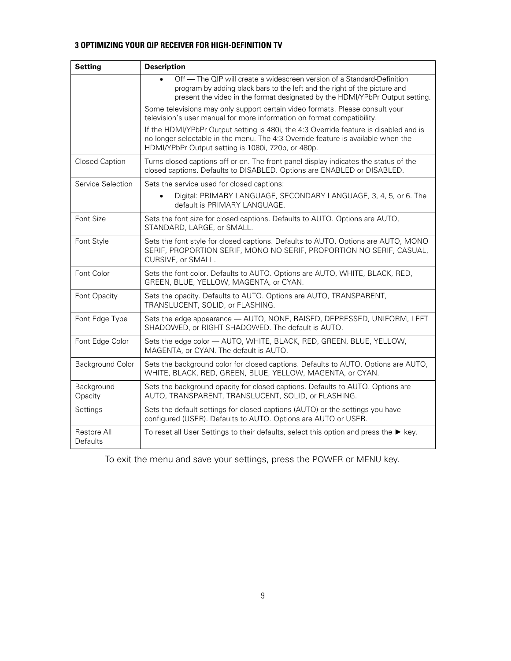#### **3 OPTIMIZING YOUR QIP RECEIVER FOR HIGH-DEFINITION TV**

| <b>Setting</b>          | <b>Description</b>                                                                                                                                                                                                                   |
|-------------------------|--------------------------------------------------------------------------------------------------------------------------------------------------------------------------------------------------------------------------------------|
|                         | Off - The QIP will create a widescreen version of a Standard-Definition<br>program by adding black bars to the left and the right of the picture and<br>present the video in the format designated by the HDMI/YPbPr Output setting. |
|                         | Some televisions may only support certain video formats. Please consult your<br>television's user manual for more information on format compatibility.                                                                               |
|                         | If the HDMI/YPbPr Output setting is 480i, the 4:3 Override feature is disabled and is<br>no longer selectable in the menu. The 4:3 Override feature is available when the<br>HDMI/YPbPr Output setting is 1080i, 720p, or 480p.      |
| Closed Caption          | Turns closed captions off or on. The front panel display indicates the status of the<br>closed captions. Defaults to DISABLED. Options are ENABLED or DISABLED.                                                                      |
| Service Selection       | Sets the service used for closed captions:                                                                                                                                                                                           |
|                         | Digital: PRIMARY LANGUAGE, SECONDARY LANGUAGE, 3, 4, 5, or 6. The<br>default is PRIMARY LANGUAGE.                                                                                                                                    |
| Font Size               | Sets the font size for closed captions. Defaults to AUTO. Options are AUTO,<br>STANDARD, LARGE, or SMALL.                                                                                                                            |
| Font Style              | Sets the font style for closed captions. Defaults to AUTO. Options are AUTO, MONO<br>SERIF, PROPORTION SERIF, MONO NO SERIF, PROPORTION NO SERIF, CASUAL,<br>CURSIVE, or SMALL.                                                      |
| Font Color              | Sets the font color. Defaults to AUTO. Options are AUTO, WHITE, BLACK, RED,<br>GREEN, BLUE, YELLOW, MAGENTA, or CYAN.                                                                                                                |
| Font Opacity            | Sets the opacity. Defaults to AUTO. Options are AUTO, TRANSPARENT,<br>TRANSLUCENT, SOLID, or FLASHING.                                                                                                                               |
| Font Edge Type          | Sets the edge appearance - AUTO, NONE, RAISED, DEPRESSED, UNIFORM, LEFT<br>SHADOWED, or RIGHT SHADOWED. The default is AUTO.                                                                                                         |
| Font Edge Color         | Sets the edge color - AUTO, WHITE, BLACK, RED, GREEN, BLUE, YELLOW,<br>MAGENTA, or CYAN. The default is AUTO.                                                                                                                        |
| Background Color        | Sets the background color for closed captions. Defaults to AUTO. Options are AUTO,<br>WHITE, BLACK, RED, GREEN, BLUE, YELLOW, MAGENTA, or CYAN.                                                                                      |
| Background<br>Opacity   | Sets the background opacity for closed captions. Defaults to AUTO. Options are<br>AUTO, TRANSPARENT, TRANSLUCENT, SOLID, or FLASHING.                                                                                                |
| Settings                | Sets the default settings for closed captions (AUTO) or the settings you have<br>configured (USER). Defaults to AUTO. Options are AUTO or USER.                                                                                      |
| Restore All<br>Defaults | To reset all User Settings to their defaults, select this option and press the $\blacktriangleright$ key.                                                                                                                            |

To exit the menu and save your settings, press the POWER or MENU key.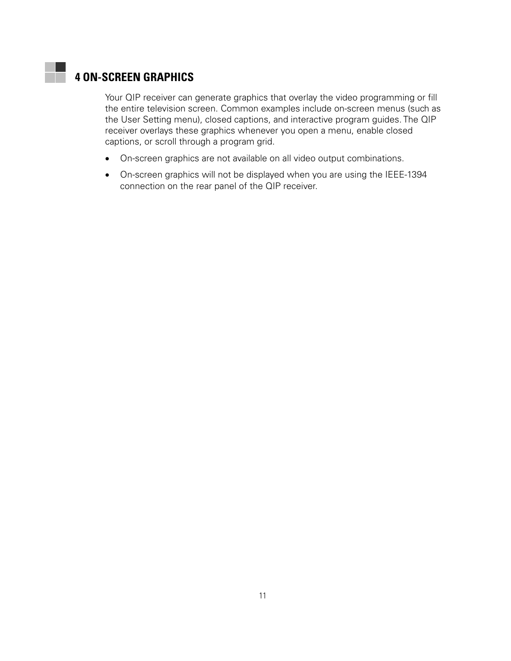# <span id="page-20-0"></span>**4 ON-SCREEN GRAPHICS**

Your QIP receiver can generate graphics that overlay the video programming or fill the entire television screen. Common examples include on-screen menus (such as the User Setting menu), closed captions, and interactive program guides. The QIP receiver overlays these graphics whenever you open a menu, enable closed captions, or scroll through a program grid.

- On-screen graphics are not available on all video output combinations.
- On-screen graphics will not be displayed when you are using the IEEE-1394 connection on the rear panel of the QIP receiver.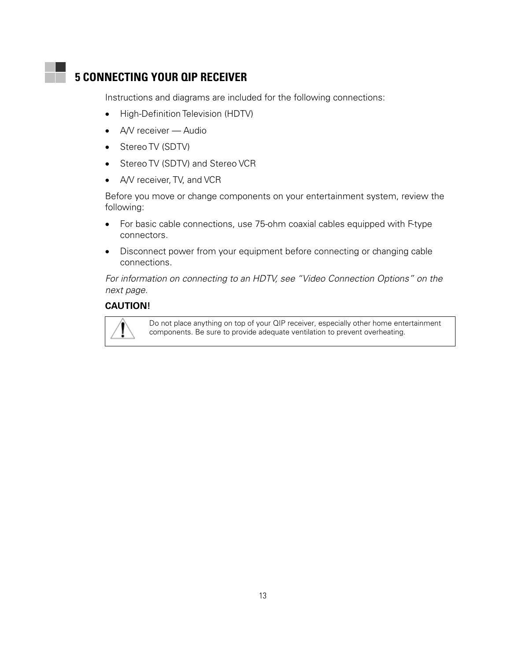# <span id="page-22-0"></span>**5 CONNECTING YOUR QIP RECEIVER**

Instructions and diagrams are included for the following connections:

- High-Definition Television (HDTV)
- A/V receiver Audio
- Stereo TV (SDTV)
- Stereo TV (SDTV) and Stereo VCR
- A/V receiver, TV, and VCR

Before you move or change components on your entertainment system, review the following:

- For basic cable connections, use 75-ohm coaxial cables equipped with F-type connectors.
- Disconnect power from your equipment before connecting or changing cable connections.

For information on connecting to an HDTV, see "Video Connection Options" on the next page.

#### **CAUTION!**



Do not place anything on top of your QIP receiver, especially other home entertainment components. Be sure to provide adequate ventilation to prevent overheating.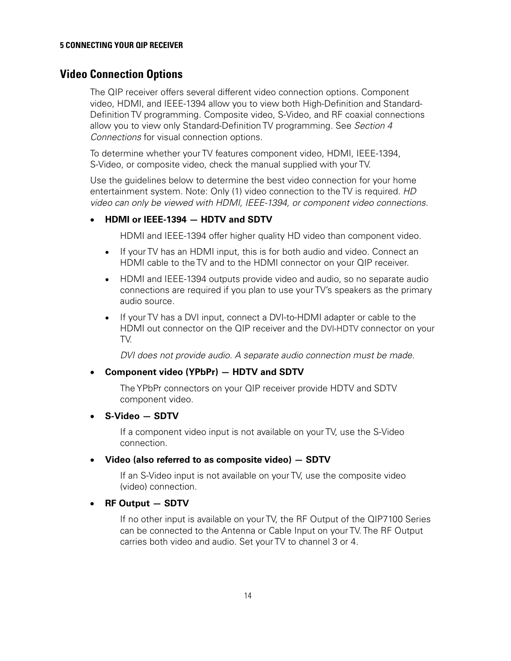## <span id="page-23-0"></span>**Video Connection Options**

The QIP receiver offers several different video connection options. Component video, HDMI, and IEEE-1394 allow you to view both High-Definition and Standard-Definition TV programming. Composite video, S-Video, and RF coaxial connections allow you to view only Standard-Definition TV programming. See Section 4 Connections for visual connection options.

To determine whether your TV features component video, HDMI, IEEE-1394, S-Video, or composite video, check the manual supplied with your TV.

Use the guidelines below to determine the best video connection for your home entertainment system. Note: Only (1) video connection to the TV is required. HD video can only be viewed with HDMI, IEEE-1394, or component video connections.

#### • **HDMI or IEEE-1394 — HDTV and SDTV**

HDMI and IEEE-1394 offer higher quality HD video than component video.

- If your TV has an HDMI input, this is for both audio and video. Connect an HDMI cable to the TV and to the HDMI connector on your QIP receiver.
- HDMI and IEEE-1394 outputs provide video and audio, so no separate audio connections are required if you plan to use your TV's speakers as the primary audio source.
- If your TV has a DVI input, connect a DVI-to-HDMI adapter or cable to the HDMI out connector on the QIP receiver and the DVI-HDTV connector on your TV.

DVI does not provide audio. A separate audio connection must be made.

#### • **Component video (YPbPr) — HDTV and SDTV**

The YPbPr connectors on your QIP receiver provide HDTV and SDTV component video.

#### • **S-Video — SDTV**

If a component video input is not available on your TV, use the S-Video connection.

#### • **Video (also referred to as composite video) — SDTV**

If an S-Video input is not available on your TV, use the composite video (video) connection.

#### • **RF Output — SDTV**

If no other input is available on your TV, the RF Output of the QIP7100 Series can be connected to the Antenna or Cable Input on your TV. The RF Output carries both video and audio. Set your TV to channel 3 or 4.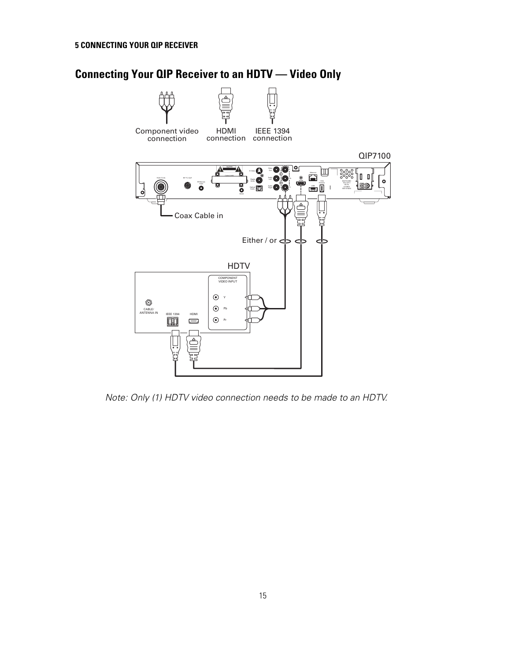# <span id="page-24-0"></span>**Connecting Your QIP Receiver to an HDTV — Video Only**



Note: Only (1) HDTV video connection needs to be made to an HDTV.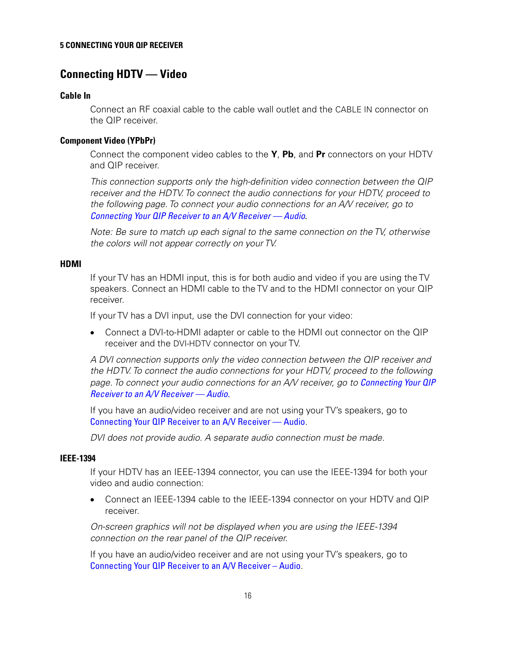#### <span id="page-25-0"></span>**5 CONNECTING YOUR QIP RECEIVER**

## **Connecting HDTV — Video**

#### **Cable In**

Connect an RF coaxial cable to the cable wall outlet and the CABLE IN connector on the QIP receiver.

#### **Component Video (YPbPr)**

Connect the component video cables to the **Y**, **Pb**, and **Pr** connectors on your HDTV and QIP receiver.

This connection supports only the high-definition video connection between the QIP receiver and the HDTV. To connect the audio connections for your HDTV, proceed to the following page. To connect your audio connections for an A/V receiver, go to [Connecting Your QIP Receiver to an A/V Receiver — Audio](#page-27-0)*.* 

Note: Be sure to match up each signal to the same connection on the TV, otherwise the colors will not appear correctly on your TV.

#### **HDMI**

If your TV has an HDMI input, this is for both audio and video if you are using the TV speakers. Connect an HDMI cable to the TV and to the HDMI connector on your QIP receiver.

If your TV has a DVI input, use the DVI connection for your video:

• Connect a DVI-to-HDMI adapter or cable to the HDMI out connector on the QIP receiver and the DVI-HDTV connector on your TV.

A DVI connection supports only the video connection between the QIP receiver and the HDTV. To connect the audio connections for your HDTV, proceed to the following page. To connect your audio connections for an A/V receiver, go to Connecting Your QIP [Receiver to an A/V Receiver — Audio](#page-27-0).

If you have an audio/video receiver and are not using your TV's speakers, go to [Connecting Your QIP Receiver to an A/V Receiver — Audio](#page-27-0).

DVI does not provide audio. A separate audio connection must be made.

#### **IEEE-1394**

If your HDTV has an IEEE-1394 connector, you can use the IEEE-1394 for both your video and audio connection:

• Connect an IEEE-1394 cable to the IEEE-1394 connector on your HDTV and QIP receiver.

On-screen graphics will not be displayed when you are using the IEEE-1394 connection on the rear panel of the QIP receiver.

If you have an audio/video receiver and are not using your TV's speakers, go to [Connecting Your QIP Receiver to an A/V Receiver – Audio](#page-27-0).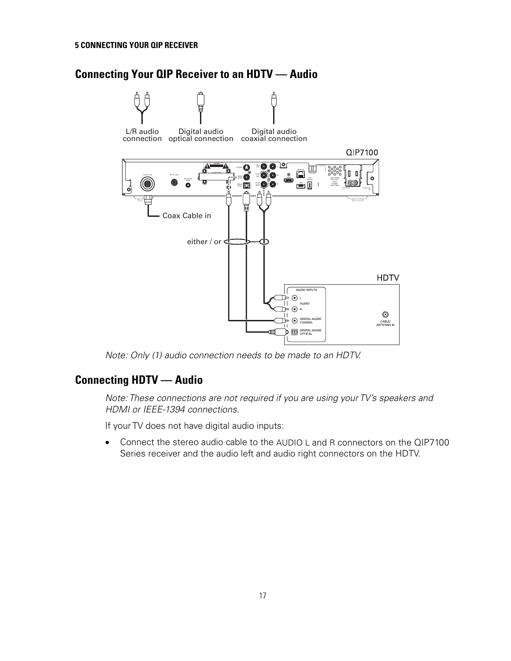# <span id="page-26-0"></span>**Connecting Your QIP Receiver to an HDTV — Audio**



Note: Only (1) audio connection needs to be made to an HDTV.

# **Connecting HDTV — Audio**

Note: These connections are not required if you are using your TV's speakers and HDMI or IEEE-1394 connections.

If your TV does not have digital audio inputs:

• Connect the stereo audio cable to the AUDIO L and R connectors on the QIP7100 Series receiver and the audio left and audio right connectors on the HDTV.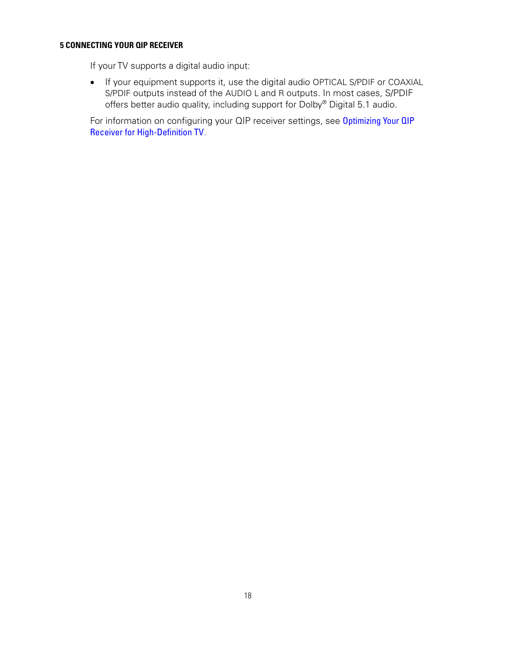#### <span id="page-27-0"></span>**5 CONNECTING YOUR QIP RECEIVER**

If your TV supports a digital audio input:

• If your equipment supports it, use the digital audio OPTICAL S/PDIF or COAXIAL S/PDIF outputs instead of the AUDIO L and R outputs. In most cases, S/PDIF offers better audio quality, including support for Dolby® Digital 5.1 audio.

For information on configuring your QIP receiver settings, see Optimizing Your QIP [Receiver for High-Definition TV](#page-16-0).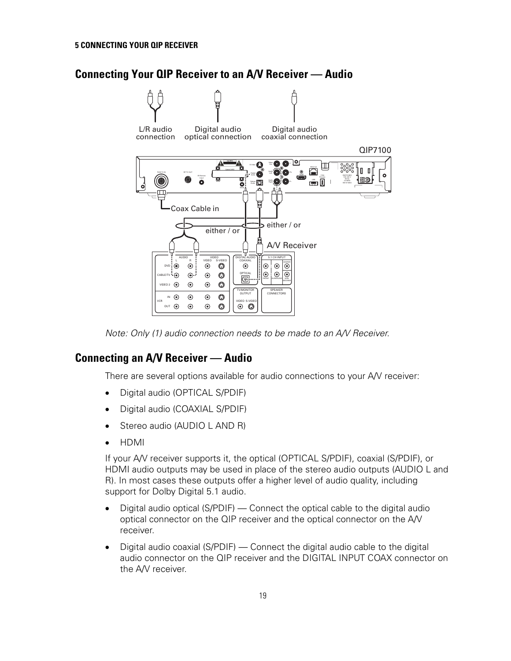# <span id="page-28-0"></span>**Connecting Your QIP Receiver to an A/V Receiver — Audio**



Note: Only (1) audio connection needs to be made to an A/V Receiver.

## **Connecting an A/V Receiver — Audio**

There are several options available for audio connections to your A/V receiver:

- Digital audio (OPTICAL S/PDIF)
- Digital audio (COAXIAL S/PDIF)
- Stereo audio (AUDIO L AND R)
- HDMI

If your A/V receiver supports it, the optical (OPTICAL S/PDIF), coaxial (S/PDIF), or HDMI audio outputs may be used in place of the stereo audio outputs (AUDIO L and R). In most cases these outputs offer a higher level of audio quality, including support for Dolby Digital 5.1 audio.

- Digital audio optical (S/PDIF) Connect the optical cable to the digital audio optical connector on the QIP receiver and the optical connector on the A/V receiver.
- Digital audio coaxial (S/PDIF) Connect the digital audio cable to the digital audio connector on the QIP receiver and the DIGITAL INPUT COAX connector on the A/V receiver.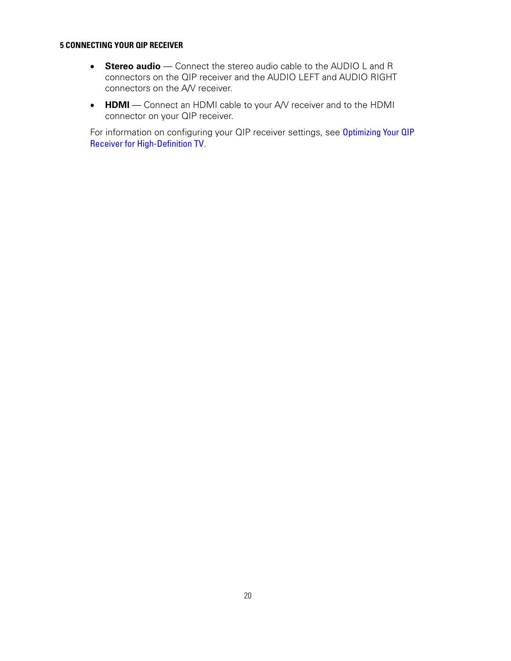#### **5 CONNECTING YOUR QIP RECEIVER**

- **Stereo audio** Connect the stereo audio cable to the AUDIO L and R connectors on the QIP receiver and the AUDIO LEFT and AUDIO RIGHT connectors on the A/V receiver.
- **HDMI** Connect an HDMI cable to your A/V receiver and to the HDMI connector on your QIP receiver.

For information on configuring your QIP receiver settings, see Optimizing Your QIP [Receiver for High-Definition TV](#page-16-0).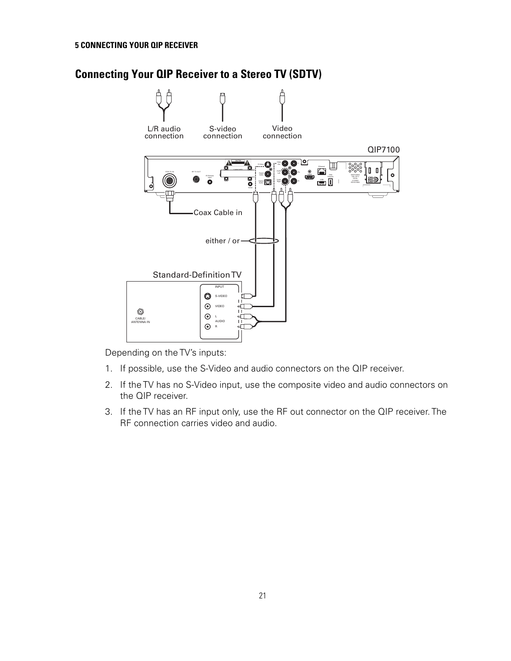#### <span id="page-30-0"></span>**5 CONNECTING YOUR QIP RECEIVER**

# **Connecting Your QIP Receiver to a Stereo TV (SDTV)**



Depending on the TV's inputs:

- 1. If possible, use the S-Video and audio connectors on the QIP receiver.
- 2. If the TV has no S-Video input, use the composite video and audio connectors on the QIP receiver.
- 3. If the TV has an RF input only, use the RF out connector on the QIP receiver. The RF connection carries video and audio.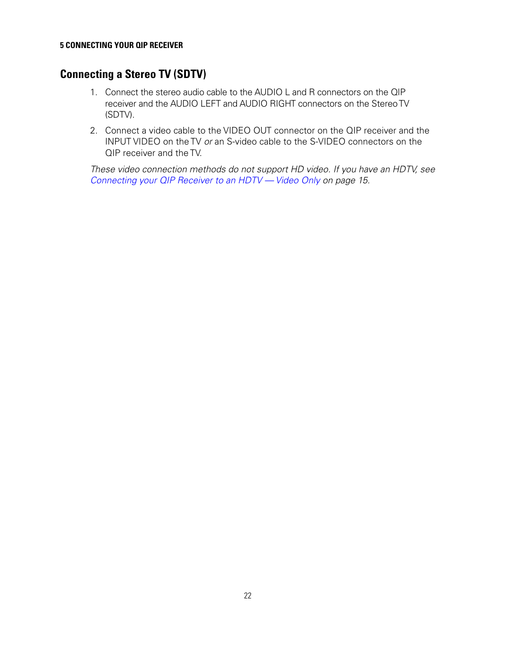## <span id="page-31-0"></span>**Connecting a Stereo TV (SDTV)**

- 1. Connect the stereo audio cable to the AUDIO L and R connectors on the QIP receiver and the AUDIO LEFT and AUDIO RIGHT connectors on the Stereo TV (SDTV).
- 2. Connect a video cable to the VIDEO OUT connector on the QIP receiver and the INPUT VIDEO on the TV or an S-video cable to the S-VIDEO connectors on the QIP receiver and the TV.

These video connection methods do not support HD video. If you have an HDTV, see [Connecting your QIP Receiver to an HDTV — Video Only](#page-23-0) on page [15](#page-24-0).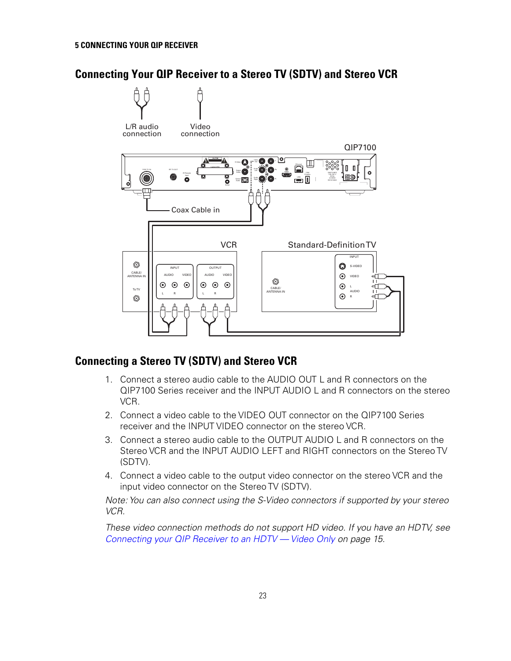## <span id="page-32-0"></span>**Connecting Your QIP Receiver to a Stereo TV (SDTV) and Stereo VCR**



## **Connecting a Stereo TV (SDTV) and Stereo VCR**

- 1. Connect a stereo audio cable to the AUDIO OUT L and R connectors on the QIP7100 Series receiver and the INPUT AUDIO L and R connectors on the stereo VCR.
- 2. Connect a video cable to the VIDEO OUT connector on the QIP7100 Series receiver and the INPUT VIDEO connector on the stereo VCR.
- 3. Connect a stereo audio cable to the OUTPUT AUDIO L and R connectors on the Stereo VCR and the INPUT AUDIO LEFT and RIGHT connectors on the Stereo TV (SDTV).
- 4. Connect a video cable to the output video connector on the stereo VCR and the input video connector on the Stereo TV (SDTV).

Note: You can also connect using the S-Video connectors if supported by your stereo VCR.

These video connection methods do not support HD video. If you have an HDTV, see [Connecting your QIP Receiver to an HDTV — Video Only](#page-23-0) on page [15](#page-24-0).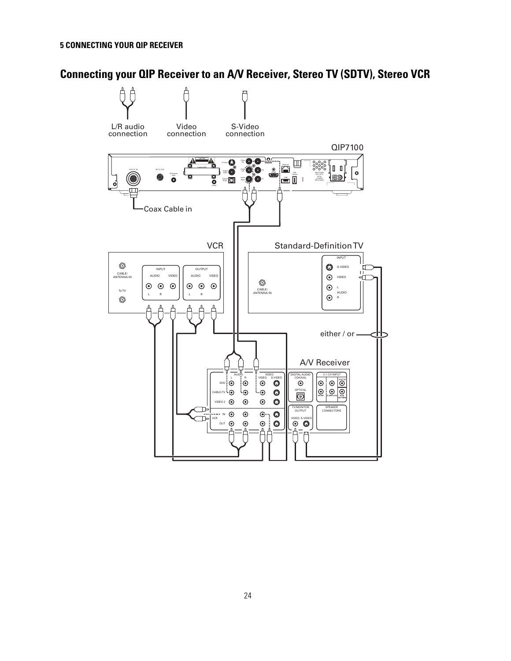# <span id="page-33-0"></span>**Connecting your QIP Receiver to an A/V Receiver, Stereo TV (SDTV), Stereo VCR**

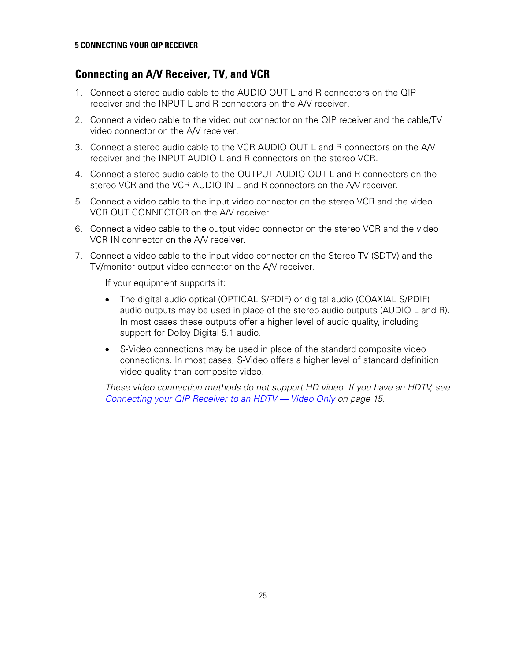## <span id="page-34-0"></span>**Connecting an A/V Receiver, TV, and VCR**

- 1. Connect a stereo audio cable to the AUDIO OUT L and R connectors on the QIP receiver and the INPUT L and R connectors on the A/V receiver.
- 2. Connect a video cable to the video out connector on the QIP receiver and the cable/TV video connector on the A/V receiver.
- 3. Connect a stereo audio cable to the VCR AUDIO OUT L and R connectors on the A/V receiver and the INPUT AUDIO L and R connectors on the stereo VCR.
- 4. Connect a stereo audio cable to the OUTPUT AUDIO OUT L and R connectors on the stereo VCR and the VCR AUDIO IN L and R connectors on the AN receiver.
- 5. Connect a video cable to the input video connector on the stereo VCR and the video VCR OUT CONNECTOR on the A/V receiver.
- 6. Connect a video cable to the output video connector on the stereo VCR and the video VCR IN connector on the A/V receiver.
- 7. Connect a video cable to the input video connector on the Stereo TV (SDTV) and the TV/monitor output video connector on the A/V receiver.

If your equipment supports it:

- The digital audio optical (OPTICAL S/PDIF) or digital audio (COAXIAL S/PDIF) audio outputs may be used in place of the stereo audio outputs (AUDIO L and R). In most cases these outputs offer a higher level of audio quality, including support for Dolby Digital 5.1 audio.
- S-Video connections may be used in place of the standard composite video connections. In most cases, S-Video offers a higher level of standard definition video quality than composite video.

These video connection methods do not support HD video. If you have an HDTV, see [Connecting your QIP Receiver to an HDTV — Video Only](#page-23-0) on page [15](#page-24-0).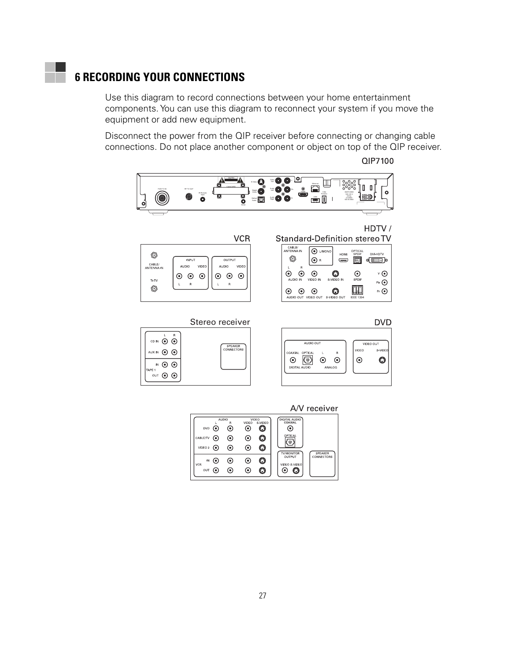# <span id="page-36-0"></span>**6 RECORDING YOUR CONNECTIONS**

Use this diagram to record connections between your home entertainment components. You can use this diagram to reconnect your system if you move the equipment or add new equipment.

Disconnect the power from the QIP receiver before connecting or changing cable connections. Do not place another component or object on top of the QIP receiver.

QIP7100



|                                   |                               |                      |                                     |                        | A/V receiver                                                          |
|-----------------------------------|-------------------------------|----------------------|-------------------------------------|------------------------|-----------------------------------------------------------------------|
| <b>DVD</b><br>CABLE/TV<br>VIDEO 2 | $\left( \bullet \right)$<br>⊙ | AUDIO<br>R<br>◉<br>⊙ | VIDEO<br>◉<br>◉<br>◉                | VIDEO<br>S-VIDEO<br>٤. | DIGITAL AUDIO<br>COAXIAL<br>OPTICAL<br>r.                             |
| IN<br>VCR<br>OUT                  |                               | $\odot$              | $\left( \bullet \right)$<br>$\odot$ |                        | <b>TV/MONITOR</b><br>SPEAKER<br>OUTPUT<br>CONNECTORS<br>VIDEO S-VIDEO |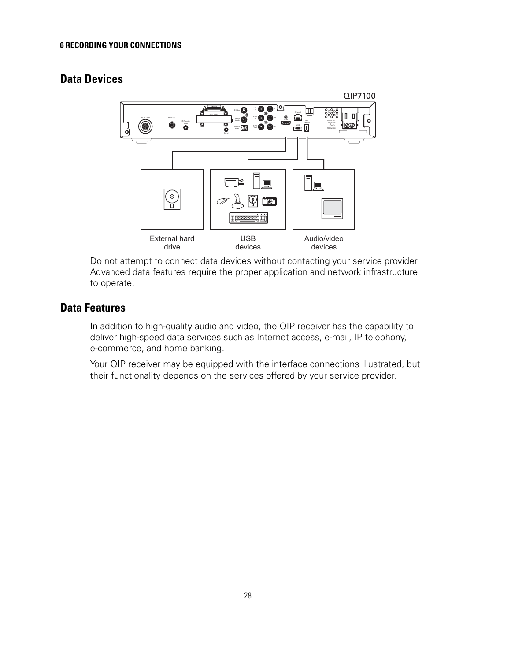# <span id="page-37-0"></span>**Data Devices**



Do not attempt to connect data devices without contacting your service provider. Advanced data features require the proper application and network infrastructure to operate.

## **Data Features**

In addition to high-quality audio and video, the QIP receiver has the capability to deliver high-speed data services such as Internet access, e-mail, IP telephony, e-commerce, and home banking.

Your QIP receiver may be equipped with the interface connections illustrated, but their functionality depends on the services offered by your service provider.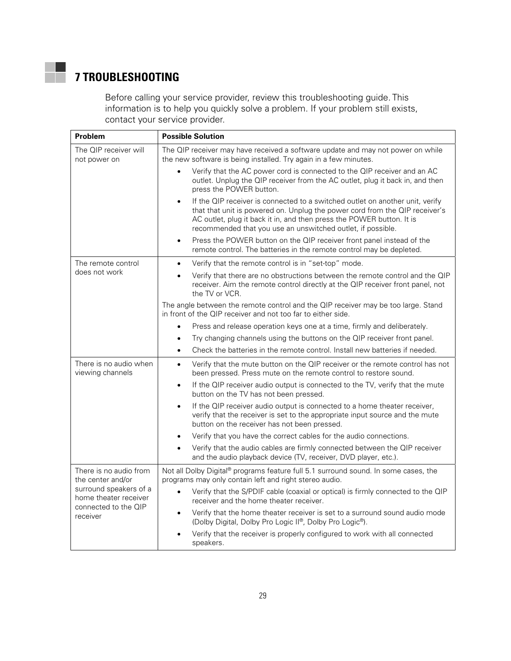# **7 TROUBLESHOOTING**

<span id="page-38-0"></span>×.

Before calling your service provider, review this troubleshooting guide. This information is to help you quickly solve a problem. If your problem still exists, contact your service provider.

| Problem                                                                             | <b>Possible Solution</b>                                                                                                                                                                                                                                                                                          |  |  |
|-------------------------------------------------------------------------------------|-------------------------------------------------------------------------------------------------------------------------------------------------------------------------------------------------------------------------------------------------------------------------------------------------------------------|--|--|
| The QIP receiver will<br>not power on                                               | The QIP receiver may have received a software update and may not power on while<br>the new software is being installed. Try again in a few minutes.                                                                                                                                                               |  |  |
|                                                                                     | Verify that the AC power cord is connected to the QIP receiver and an AC<br>outlet. Unplug the QIP receiver from the AC outlet, plug it back in, and then<br>press the POWER button.                                                                                                                              |  |  |
|                                                                                     | If the QIP receiver is connected to a switched outlet on another unit, verify<br>$\bullet$<br>that that unit is powered on. Unplug the power cord from the QIP receiver's<br>AC outlet, plug it back it in, and then press the POWER button. It is<br>recommended that you use an unswitched outlet, if possible. |  |  |
|                                                                                     | Press the POWER button on the QIP receiver front panel instead of the<br>$\bullet$<br>remote control. The batteries in the remote control may be depleted.                                                                                                                                                        |  |  |
| The remote control                                                                  | Verify that the remote control is in "set-top" mode.<br>$\bullet$                                                                                                                                                                                                                                                 |  |  |
| does not work                                                                       | Verify that there are no obstructions between the remote control and the QIP<br>$\bullet$<br>receiver. Aim the remote control directly at the QIP receiver front panel, not<br>the TV or VCR.                                                                                                                     |  |  |
|                                                                                     | The angle between the remote control and the QIP receiver may be too large. Stand<br>in front of the QIP receiver and not too far to either side.                                                                                                                                                                 |  |  |
|                                                                                     | Press and release operation keys one at a time, firmly and deliberately.                                                                                                                                                                                                                                          |  |  |
|                                                                                     | Try changing channels using the buttons on the QIP receiver front panel.<br>$\bullet$                                                                                                                                                                                                                             |  |  |
|                                                                                     | Check the batteries in the remote control. Install new batteries if needed.<br>$\bullet$                                                                                                                                                                                                                          |  |  |
| There is no audio when<br>viewing channels                                          | Verify that the mute button on the QIP receiver or the remote control has not<br>$\bullet$<br>been pressed. Press mute on the remote control to restore sound.                                                                                                                                                    |  |  |
|                                                                                     | If the QIP receiver audio output is connected to the TV, verify that the mute<br>$\bullet$<br>button on the TV has not been pressed.                                                                                                                                                                              |  |  |
|                                                                                     | If the QIP receiver audio output is connected to a home theater receiver,<br>$\bullet$<br>verify that the receiver is set to the appropriate input source and the mute<br>button on the receiver has not been pressed.                                                                                            |  |  |
|                                                                                     | Verify that you have the correct cables for the audio connections.<br>$\bullet$                                                                                                                                                                                                                                   |  |  |
|                                                                                     | Verify that the audio cables are firmly connected between the QIP receiver<br>and the audio playback device (TV, receiver, DVD player, etc.).                                                                                                                                                                     |  |  |
| There is no audio from<br>the center and/or                                         | Not all Dolby Digital® programs feature full 5.1 surround sound. In some cases, the<br>programs may only contain left and right stereo audio.                                                                                                                                                                     |  |  |
| surround speakers of a<br>home theater receiver<br>connected to the QIP<br>receiver | Verify that the S/PDIF cable (coaxial or optical) is firmly connected to the QIP<br>receiver and the home theater receiver.                                                                                                                                                                                       |  |  |
|                                                                                     | Verify that the home theater receiver is set to a surround sound audio mode<br>$\bullet$<br>(Dolby Digital, Dolby Pro Logic II®, Dolby Pro Logic®).                                                                                                                                                               |  |  |
|                                                                                     | Verify that the receiver is properly configured to work with all connected<br>speakers.                                                                                                                                                                                                                           |  |  |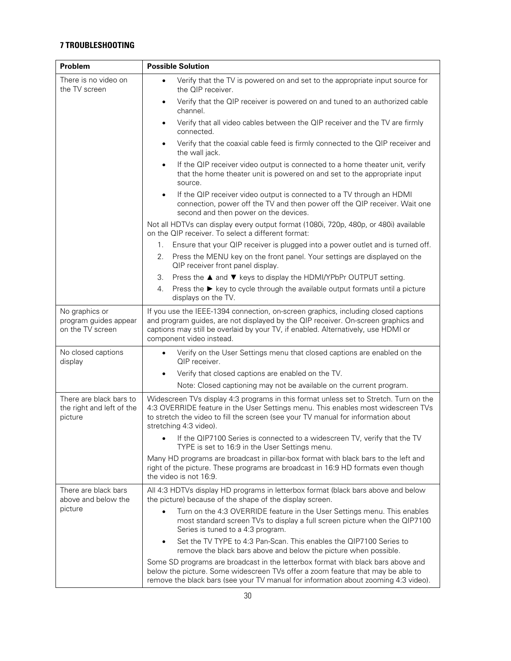#### **7 TROUBLESHOOTING**

| Problem                                                         | <b>Possible Solution</b>                                                                                                                                                                                                                                                                 |
|-----------------------------------------------------------------|------------------------------------------------------------------------------------------------------------------------------------------------------------------------------------------------------------------------------------------------------------------------------------------|
| There is no video on<br>the TV screen                           | Verify that the TV is powered on and set to the appropriate input source for<br>the QIP receiver.                                                                                                                                                                                        |
|                                                                 | Verify that the QIP receiver is powered on and tuned to an authorized cable<br>$\bullet$<br>channel.                                                                                                                                                                                     |
|                                                                 | Verify that all video cables between the QIP receiver and the TV are firmly<br>$\bullet$<br>connected.                                                                                                                                                                                   |
|                                                                 | Verify that the coaxial cable feed is firmly connected to the QIP receiver and<br>$\bullet$<br>the wall jack.                                                                                                                                                                            |
|                                                                 | If the QIP receiver video output is connected to a home theater unit, verify<br>$\bullet$<br>that the home theater unit is powered on and set to the appropriate input<br>source.                                                                                                        |
|                                                                 | If the QIP receiver video output is connected to a TV through an HDMI<br>$\bullet$<br>connection, power off the TV and then power off the QIP receiver. Wait one<br>second and then power on the devices.                                                                                |
|                                                                 | Not all HDTVs can display every output format (1080i, 720p, 480p, or 480i) available<br>on the QIP receiver. To select a different format:                                                                                                                                               |
|                                                                 | 1.<br>Ensure that your QIP receiver is plugged into a power outlet and is turned off.                                                                                                                                                                                                    |
|                                                                 | Press the MENU key on the front panel. Your settings are displayed on the<br>2.<br>QIP receiver front panel display.                                                                                                                                                                     |
|                                                                 | 3.<br>Press the ▲ and ▼ keys to display the HDMI/YPbPr OUTPUT setting.                                                                                                                                                                                                                   |
|                                                                 | Press the $\blacktriangleright$ key to cycle through the available output formats until a picture<br>4.<br>displays on the TV.                                                                                                                                                           |
| No graphics or<br>program guides appear<br>on the TV screen     | If you use the IEEE-1394 connection, on-screen graphics, including closed captions<br>and program guides, are not displayed by the QIP receiver. On-screen graphics and<br>captions may still be overlaid by your TV, if enabled. Alternatively, use HDMI or<br>component video instead. |
| No closed captions<br>display                                   | Verify on the User Settings menu that closed captions are enabled on the<br>$\bullet$<br>QIP receiver.                                                                                                                                                                                   |
|                                                                 | Verify that closed captions are enabled on the TV.<br>$\bullet$                                                                                                                                                                                                                          |
|                                                                 | Note: Closed captioning may not be available on the current program.                                                                                                                                                                                                                     |
| There are black bars to<br>the right and left of the<br>picture | Widescreen TVs display 4:3 programs in this format unless set to Stretch. Turn on the<br>4:3 OVERRIDE feature in the User Settings menu. This enables most widescreen TVs<br>to stretch the video to fill the screen (see your TV manual for information about<br>stretching 4:3 video). |
|                                                                 | If the QIP7100 Series is connected to a widescreen TV, verify that the TV<br>TYPE is set to 16:9 in the User Settings menu.                                                                                                                                                              |
|                                                                 | Many HD programs are broadcast in pillar-box format with black bars to the left and<br>right of the picture. These programs are broadcast in 16:9 HD formats even though<br>the video is not 16:9.                                                                                       |
| There are black bars<br>above and below the                     | All 4:3 HDTVs display HD programs in letterbox format (black bars above and below<br>the picture) because of the shape of the display screen.                                                                                                                                            |
| picture                                                         | Turn on the 4:3 OVERRIDE feature in the User Settings menu. This enables<br>most standard screen TVs to display a full screen picture when the QIP7100<br>Series is tuned to a 4:3 program.                                                                                              |
|                                                                 | Set the TV TYPE to 4:3 Pan-Scan. This enables the QIP7100 Series to<br>remove the black bars above and below the picture when possible.                                                                                                                                                  |
|                                                                 | Some SD programs are broadcast in the letterbox format with black bars above and<br>below the picture. Some widescreen TVs offer a zoom feature that may be able to<br>remove the black bars (see your TV manual for information about zooming 4:3 video).                               |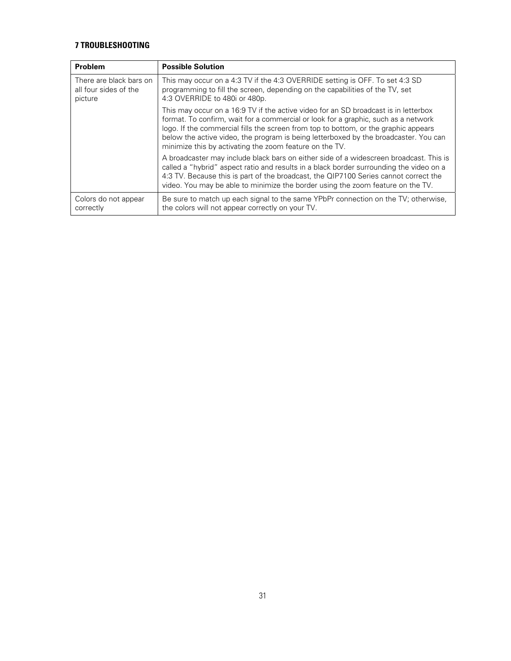#### **7 TROUBLESHOOTING**

| Problem                                                     | <b>Possible Solution</b>                                                                                                                                                                                                                                                                                                                                                                                            |
|-------------------------------------------------------------|---------------------------------------------------------------------------------------------------------------------------------------------------------------------------------------------------------------------------------------------------------------------------------------------------------------------------------------------------------------------------------------------------------------------|
| There are black bars on<br>all four sides of the<br>picture | This may occur on a 4:3 TV if the 4:3 OVERRIDE setting is OFF. To set 4:3 SD<br>programming to fill the screen, depending on the capabilities of the TV, set<br>4.3 OVERRIDE to 480i or 480p.                                                                                                                                                                                                                       |
|                                                             | This may occur on a 16:9 TV if the active video for an SD broadcast is in letterbox<br>format. To confirm, wait for a commercial or look for a graphic, such as a network<br>logo. If the commercial fills the screen from top to bottom, or the graphic appears<br>below the active video, the program is being letterboxed by the broadcaster. You can<br>minimize this by activating the zoom feature on the TV. |
|                                                             | A broadcaster may include black bars on either side of a widescreen broadcast. This is<br>called a "hybrid" aspect ratio and results in a black border surrounding the video on a<br>4:3 TV. Because this is part of the broadcast, the QIP7100 Series cannot correct the<br>video. You may be able to minimize the border using the zoom feature on the TV.                                                        |
| Colors do not appear<br>correctly                           | Be sure to match up each signal to the same YPbPr connection on the TV; otherwise,<br>the colors will not appear correctly on your TV.                                                                                                                                                                                                                                                                              |